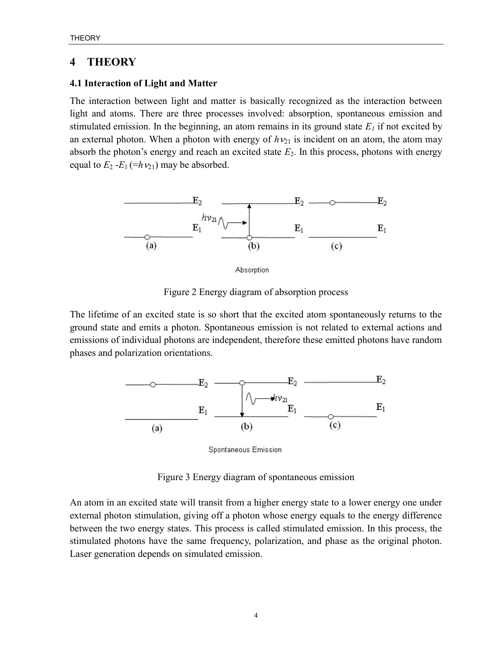## 4 THEORY

## 4.1 Interaction of Light and Matter

The interaction between light and matter is basically recognized as the interaction between light and atoms. There are three processes involved: absorption, spontaneous emission and stimulated emission. In the beginning, an atom remains in its ground state  $E_l$  if not excited by an external photon. When a photon with energy of  $h\nu_{21}$  is incident on an atom, the atom may absorb the photon's energy and reach an excited state  $E_2$ . In this process, photons with energy equal to  $E_2 - E_1 (=h_1v_{21})$  may be absorbed.



Absorption

Figure 2 Energy diagram of absorption process

The lifetime of an excited state is so short that the excited atom spontaneously returns to the ground state and emits a photon. Spontaneous emission is not related to external actions and emissions of individual photons are independent, therefore these emitted photons have random phases and polarization orientations.



Spontaneous Emission

Figure 3 Energy diagram of spontaneous emission

An atom in an excited state will transit from a higher energy state to a lower energy one under external photon stimulation, giving off a photon whose energy equals to the energy difference between the two energy states. This process is called stimulated emission. In this process, the stimulated photons have the same frequency, polarization, and phase as the original photon. Laser generation depends on simulated emission.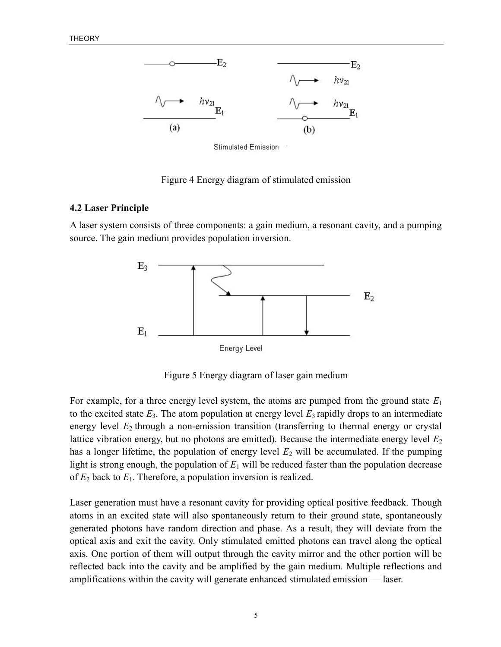

**Stimulated Emission** 

Figure 4 Energy diagram of stimulated emission

## 4.2 Laser Principle

A laser system consists of three components: a gain medium, a resonant cavity, and a pumping source. The gain medium provides population inversion.



Figure 5 Energy diagram of laser gain medium

For example, for a three energy level system, the atoms are pumped from the ground state  $E_1$ to the excited state  $E_3$ . The atom population at energy level  $E_3$  rapidly drops to an intermediate energy level  $E_2$  through a non-emission transition (transferring to thermal energy or crystal lattice vibration energy, but no photons are emitted). Because the intermediate energy level  $E_2$ has a longer lifetime, the population of energy level  $E_2$  will be accumulated. If the pumping light is strong enough, the population of  $E_1$  will be reduced faster than the population decrease of  $E_2$  back to  $E_1$ . Therefore, a population inversion is realized.

Laser generation must have a resonant cavity for providing optical positive feedback. Though atoms in an excited state will also spontaneously return to their ground state, spontaneously generated photons have random direction and phase. As a result, they will deviate from the optical axis and exit the cavity. Only stimulated emitted photons can travel along the optical axis. One portion of them will output through the cavity mirror and the other portion will be reflected back into the cavity and be amplified by the gain medium. Multiple reflections and amplifications within the cavity will generate enhanced stimulated emission — laser.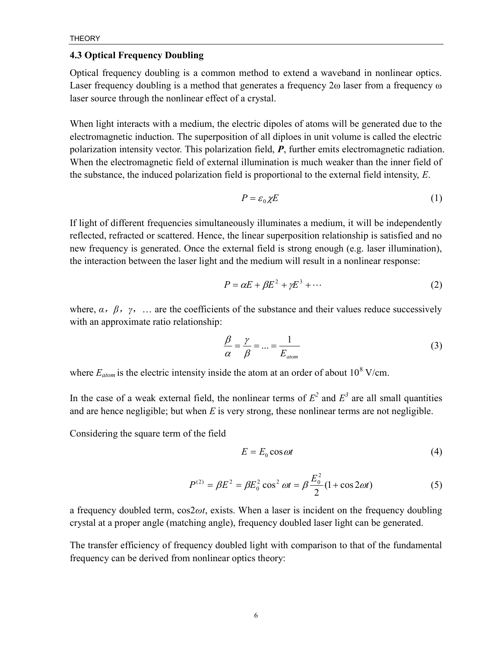## 4.3 Optical Frequency Doubling

Optical frequency doubling is a common method to extend a waveband in nonlinear optics. Laser frequency doubling is a method that generates a frequency 2ω laser from a frequency ω laser source through the nonlinear effect of a crystal.

When light interacts with a medium, the electric dipoles of atoms will be generated due to the electromagnetic induction. The superposition of all diploes in unit volume is called the electric polarization intensity vector. This polarization field,  $P$ , further emits electromagnetic radiation. When the electromagnetic field of external illumination is much weaker than the inner field of the substance, the induced polarization field is proportional to the external field intensity,  $E$ .

$$
P = \varepsilon_0 \chi E \tag{1}
$$

If light of different frequencies simultaneously illuminates a medium, it will be independently reflected, refracted or scattered. Hence, the linear superposition relationship is satisfied and no new frequency is generated. Once the external field is strong enough (e.g. laser illumination), the interaction between the laser light and the medium will result in a nonlinear response:

$$
P = \alpha E + \beta E^2 + \gamma E^3 + \cdots \tag{2}
$$

where,  $\alpha$ ,  $\beta$ ,  $\gamma$ , ... are the coefficients of the substance and their values reduce successively with an approximate ratio relationship:

$$
\frac{\beta}{\alpha} = \frac{\gamma}{\beta} = \dots = \frac{1}{E_{\text{atom}}}
$$
\n(3)

where  $E_{atom}$  is the electric intensity inside the atom at an order of about 10<sup>8</sup> V/cm.

In the case of a weak external field, the nonlinear terms of  $E^2$  and  $E^3$  are all small quantities and are hence negligible; but when  $E$  is very strong, these nonlinear terms are not negligible.

Considering the square term of the field

$$
E = E_0 \cos \omega t \tag{4}
$$

$$
P^{(2)} = \beta E^2 = \beta E_0^2 \cos^2 \omega t = \beta \frac{E_0^2}{2} (1 + \cos 2\omega t)
$$
 (5)

a frequency doubled term,  $cos2\omega t$ , exists. When a laser is incident on the frequency doubling crystal at a proper angle (matching angle), frequency doubled laser light can be generated.

The transfer efficiency of frequency doubled light with comparison to that of the fundamental frequency can be derived from nonlinear optics theory: